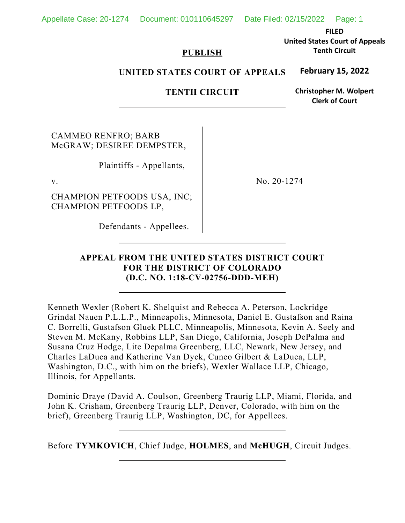Appellate Case: 20-1274 Document: 010110645297 Date Filed: 02/15/2022 Page: 1

**FILED United States Court of Appeals Tenth Circuit**

#### **PUBLISH**

#### **UNITED STATES COURT OF APPEALS February 15, 2022**

### **TENTH CIRCUIT**

**Christopher M. Wolpert Clerk of Court**

CAMMEO RENFRO; BARB McGRAW; DESIREE DEMPSTER,

Plaintiffs - Appellants,

CHAMPION PETFOODS USA, INC; CHAMPION PETFOODS LP,

v. No. 20-1274

Defendants - Appellees.

#### **APPEAL FROM THE UNITED STATES DISTRICT COURT FOR THE DISTRICT OF COLORADO (D.C. NO. 1:18-CV-02756-DDD-MEH)**

Kenneth Wexler (Robert K. Shelquist and Rebecca A. Peterson, Lockridge Grindal Nauen P.L.L.P., Minneapolis, Minnesota, Daniel E. Gustafson and Raina C. Borrelli, Gustafson Gluek PLLC, Minneapolis, Minnesota, Kevin A. Seely and Steven M. McKany, Robbins LLP, San Diego, California, Joseph DePalma and Susana Cruz Hodge, Lite Depalma Greenberg, LLC, Newark, New Jersey, and Charles LaDuca and Katherine Van Dyck, Cuneo Gilbert & LaDuca, LLP, Washington, D.C., with him on the briefs), Wexler Wallace LLP, Chicago, Illinois, for Appellants.

Dominic Draye (David A. Coulson, Greenberg Traurig LLP, Miami, Florida, and John K. Crisham, Greenberg Traurig LLP, Denver, Colorado, with him on the brief), Greenberg Traurig LLP, Washington, DC, for Appellees.

Before **TYMKOVICH**, Chief Judge, **HOLMES**, and **McHUGH**, Circuit Judges.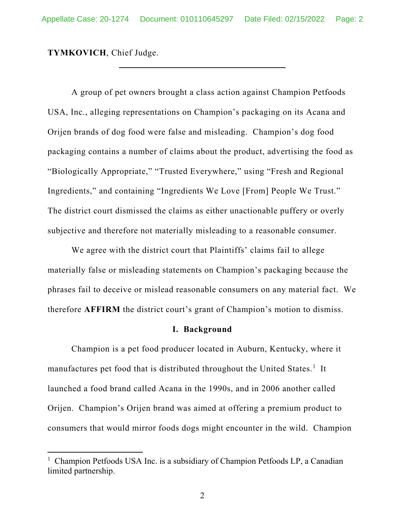**TYMKOVICH**, Chief Judge.

A group of pet owners brought a class action against Champion Petfoods USA, Inc., alleging representations on Champion's packaging on its Acana and Orijen brands of dog food were false and misleading. Champion's dog food packaging contains a number of claims about the product, advertising the food as "Biologically Appropriate," "Trusted Everywhere," using "Fresh and Regional Ingredients," and containing "Ingredients We Love [From] People We Trust." The district court dismissed the claims as either unactionable puffery or overly subjective and therefore not materially misleading to a reasonable consumer.

We agree with the district court that Plaintiffs' claims fail to allege materially false or misleading statements on Champion's packaging because the phrases fail to deceive or mislead reasonable consumers on any material fact. We therefore **AFFIRM** the district court's grant of Champion's motion to dismiss.

#### **I. Background**

 Champion is a pet food producer located in Auburn, Kentucky, where it manufactures pet food that is distributed throughout the United States.<sup>1</sup> It launched a food brand called Acana in the 1990s, and in 2006 another called Orijen. Champion's Orijen brand was aimed at offering a premium product to consumers that would mirror foods dogs might encounter in the wild. Champion

<sup>&</sup>lt;sup>1</sup> Champion Petfoods USA Inc. is a subsidiary of Champion Petfoods LP, a Canadian limited partnership.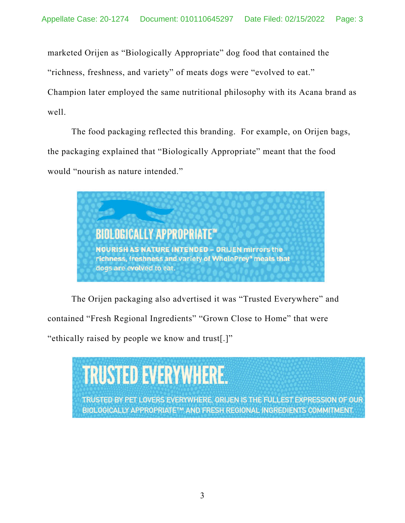marketed Orijen as "Biologically Appropriate" dog food that contained the

"richness, freshness, and variety" of meats dogs were "evolved to eat."

Champion later employed the same nutritional philosophy with its Acana brand as well.

The food packaging reflected this branding. For example, on Orijen bags, the packaging explained that "Biologically Appropriate" meant that the food would "nourish as nature intended."



The Orijen packaging also advertised it was "Trusted Everywhere" and contained "Fresh Regional Ingredients" "Grown Close to Home" that were

"ethically raised by people we know and trust[.]"

# **TRUSTED EVERYWHERE.**

TRUSTED BY PET LOVERS EVERYWHERE, ORIJEN IS THE FULLEST EXPRESSION OF OUR BIOLOGICALLY APPROPRIATETM AND FRESH REGIONAL INGREDIENTS COMMITMENT.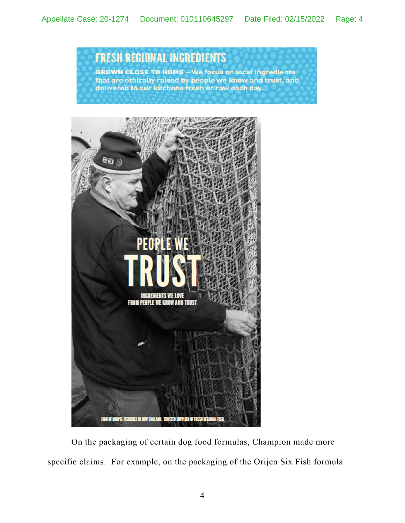## **FRESH REGIONAL INGREDIENTS**

GROWN CLOSE TO HOME - We focus on local ingredients that are ethically raised by people we know and trust, and delivered to our kitchens fresh or raw each day.



On the packaging of certain dog food formulas, Champion made more specific claims. For example, on the packaging of the Orijen Six Fish formula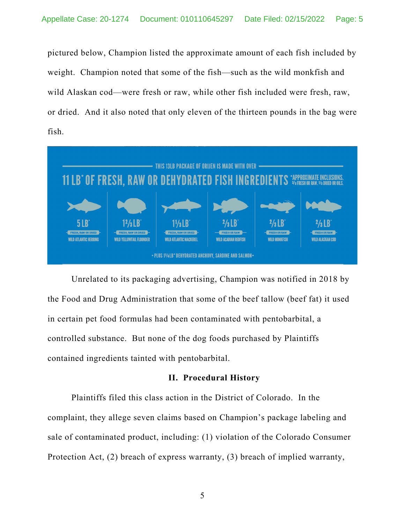pictured below, Champion listed the approximate amount of each fish included by weight. Champion noted that some of the fish—such as the wild monkfish and wild Alaskan cod—were fresh or raw, while other fish included were fresh, raw, or dried. And it also noted that only eleven of the thirteen pounds in the bag were fish.



Unrelated to its packaging advertising, Champion was notified in 2018 by the Food and Drug Administration that some of the beef tallow (beef fat) it used in certain pet food formulas had been contaminated with pentobarbital, a controlled substance. But none of the dog foods purchased by Plaintiffs contained ingredients tainted with pentobarbital.

#### **II. Procedural History**

Plaintiffs filed this class action in the District of Colorado. In the complaint, they allege seven claims based on Champion's package labeling and sale of contaminated product, including: (1) violation of the Colorado Consumer Protection Act, (2) breach of express warranty, (3) breach of implied warranty,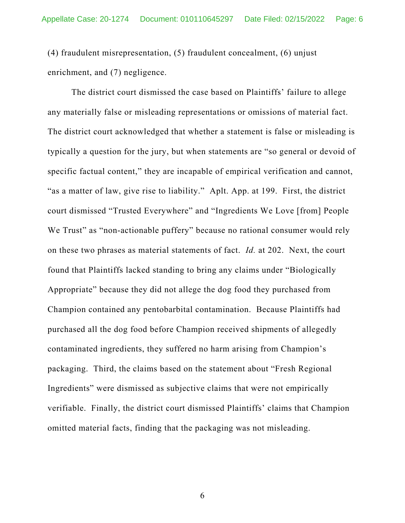(4) fraudulent misrepresentation, (5) fraudulent concealment, (6) unjust enrichment, and (7) negligence.

The district court dismissed the case based on Plaintiffs' failure to allege any materially false or misleading representations or omissions of material fact. The district court acknowledged that whether a statement is false or misleading is typically a question for the jury, but when statements are "so general or devoid of specific factual content," they are incapable of empirical verification and cannot, "as a matter of law, give rise to liability." Aplt. App. at 199. First, the district court dismissed "Trusted Everywhere" and "Ingredients We Love [from] People We Trust" as "non-actionable puffery" because no rational consumer would rely on these two phrases as material statements of fact. *Id.* at 202. Next, the court found that Plaintiffs lacked standing to bring any claims under "Biologically Appropriate" because they did not allege the dog food they purchased from Champion contained any pentobarbital contamination. Because Plaintiffs had purchased all the dog food before Champion received shipments of allegedly contaminated ingredients, they suffered no harm arising from Champion's packaging. Third, the claims based on the statement about "Fresh Regional Ingredients" were dismissed as subjective claims that were not empirically verifiable. Finally, the district court dismissed Plaintiffs' claims that Champion omitted material facts, finding that the packaging was not misleading.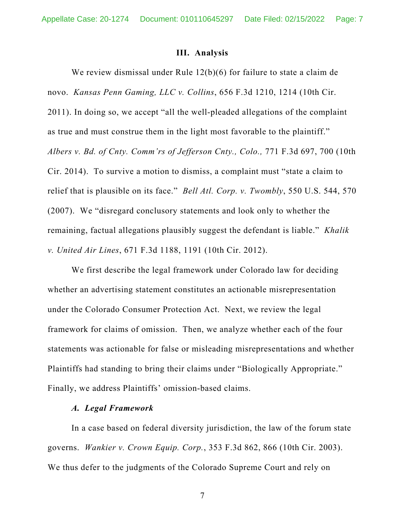#### **III. Analysis**

 We review dismissal under Rule 12(b)(6) for failure to state a claim de novo. *Kansas Penn Gaming, LLC v. Collins*, 656 F.3d 1210, 1214 (10th Cir. 2011). In doing so, we accept "all the well-pleaded allegations of the complaint as true and must construe them in the light most favorable to the plaintiff." *Albers v. Bd. of Cnty. Comm'rs of Jefferson Cnty., Colo.,* 771 F.3d 697, 700 (10th Cir. 2014). To survive a motion to dismiss, a complaint must "state a claim to relief that is plausible on its face." *Bell Atl. Corp. v. Twombly*, 550 U.S. 544, 570 (2007). We "disregard conclusory statements and look only to whether the remaining, factual allegations plausibly suggest the defendant is liable." *Khalik v. United Air Lines*, 671 F.3d 1188, 1191 (10th Cir. 2012).

 We first describe the legal framework under Colorado law for deciding whether an advertising statement constitutes an actionable misrepresentation under the Colorado Consumer Protection Act. Next, we review the legal framework for claims of omission. Then, we analyze whether each of the four statements was actionable for false or misleading misrepresentations and whether Plaintiffs had standing to bring their claims under "Biologically Appropriate." Finally, we address Plaintiffs' omission-based claims.

#### *A. Legal Framework*

 In a case based on federal diversity jurisdiction, the law of the forum state governs. *Wankier v. Crown Equip. Corp.*, 353 F.3d 862, 866 (10th Cir. 2003). We thus defer to the judgments of the Colorado Supreme Court and rely on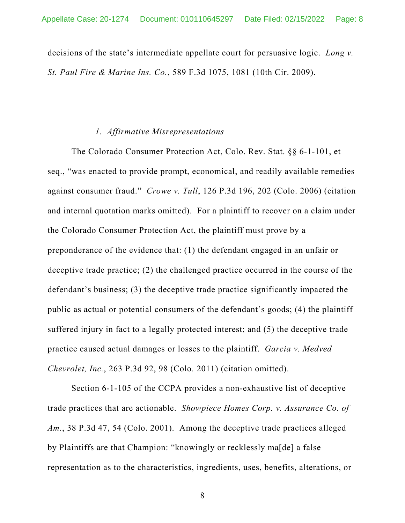decisions of the state's intermediate appellate court for persuasive logic. *Long v. St. Paul Fire & Marine Ins. Co.*, 589 F.3d 1075, 1081 (10th Cir. 2009).

#### *1. Affirmative Misrepresentations*

The Colorado Consumer Protection Act, Colo. Rev. Stat. §§ 6-1-101, et seq., "was enacted to provide prompt, economical, and readily available remedies against consumer fraud." *Crowe v. Tull*, 126 P.3d 196, 202 (Colo. 2006) (citation and internal quotation marks omitted). For a plaintiff to recover on a claim under the Colorado Consumer Protection Act, the plaintiff must prove by a preponderance of the evidence that: (1) the defendant engaged in an unfair or deceptive trade practice; (2) the challenged practice occurred in the course of the defendant's business; (3) the deceptive trade practice significantly impacted the public as actual or potential consumers of the defendant's goods; (4) the plaintiff suffered injury in fact to a legally protected interest; and (5) the deceptive trade practice caused actual damages or losses to the plaintiff. *Garcia v. Medved Chevrolet, Inc.*, 263 P.3d 92, 98 (Colo. 2011) (citation omitted).

Section 6-1-105 of the CCPA provides a non-exhaustive list of deceptive trade practices that are actionable. *Showpiece Homes Corp. v. Assurance Co. of Am.*, 38 P.3d 47, 54 (Colo. 2001). Among the deceptive trade practices alleged by Plaintiffs are that Champion: "knowingly or recklessly ma[de] a false representation as to the characteristics, ingredients, uses, benefits, alterations, or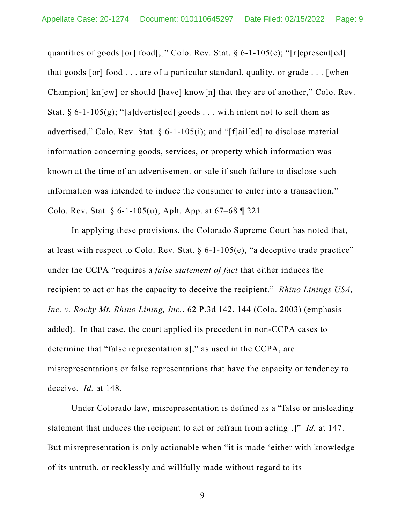quantities of goods [or] food[,]" Colo. Rev. Stat. § 6-1-105(e); "[r]epresent[ed] that goods [or] food . . . are of a particular standard, quality, or grade . . . [when Champion] kn[ew] or should [have] know[n] that they are of another," Colo. Rev. Stat. § 6-1-105(g); "[a]dvertis[ed] goods . . . with intent not to sell them as advertised," Colo. Rev. Stat. § 6-1-105(i); and "[f]ail[ed] to disclose material information concerning goods, services, or property which information was known at the time of an advertisement or sale if such failure to disclose such information was intended to induce the consumer to enter into a transaction," Colo. Rev. Stat.  $\S 6$ -1-105(u); Aplt. App. at  $67-68$  | 221.

In applying these provisions, the Colorado Supreme Court has noted that, at least with respect to Colo. Rev. Stat.  $\S 6$ -1-105(e), "a deceptive trade practice" under the CCPA "requires a *false statement of fact* that either induces the recipient to act or has the capacity to deceive the recipient." *Rhino Linings USA, Inc. v. Rocky Mt. Rhino Lining, Inc.*, 62 P.3d 142, 144 (Colo. 2003) (emphasis added). In that case, the court applied its precedent in non-CCPA cases to determine that "false representation[s]," as used in the CCPA, are misrepresentations or false representations that have the capacity or tendency to deceive. *Id.* at 148.

Under Colorado law, misrepresentation is defined as a "false or misleading statement that induces the recipient to act or refrain from acting[.]" *Id.* at 147. But misrepresentation is only actionable when "it is made 'either with knowledge of its untruth, or recklessly and willfully made without regard to its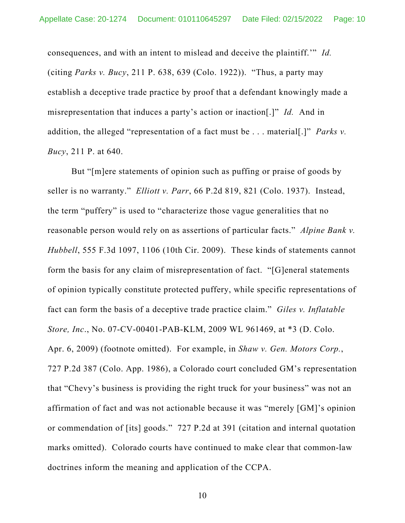consequences, and with an intent to mislead and deceive the plaintiff.'" *Id.*  (citing *Parks v. Bucy*, 211 P. 638, 639 (Colo. 1922)). "Thus, a party may establish a deceptive trade practice by proof that a defendant knowingly made a misrepresentation that induces a party's action or inaction[.]" *Id.* And in addition, the alleged "representation of a fact must be . . . material[.]" *Parks v. Bucy*, 211 P. at 640.

But "[m]ere statements of opinion such as puffing or praise of goods by seller is no warranty." *Elliott v. Parr*, 66 P.2d 819, 821 (Colo. 1937). Instead, the term "puffery" is used to "characterize those vague generalities that no reasonable person would rely on as assertions of particular facts." *Alpine Bank v. Hubbell*, 555 F.3d 1097, 1106 (10th Cir. 2009). These kinds of statements cannot form the basis for any claim of misrepresentation of fact. "[G]eneral statements of opinion typically constitute protected puffery, while specific representations of fact can form the basis of a deceptive trade practice claim." *Giles v. Inflatable Store, Inc*., No. 07-CV-00401-PAB-KLM, 2009 WL 961469, at \*3 (D. Colo. Apr. 6, 2009) (footnote omitted). For example, in *Shaw v. Gen. Motors Corp.*, 727 P.2d 387 (Colo. App. 1986), a Colorado court concluded GM's representation that "Chevy's business is providing the right truck for your business" was not an affirmation of fact and was not actionable because it was "merely [GM]'s opinion or commendation of [its] goods." 727 P.2d at 391 (citation and internal quotation marks omitted). Colorado courts have continued to make clear that common-law doctrines inform the meaning and application of the CCPA.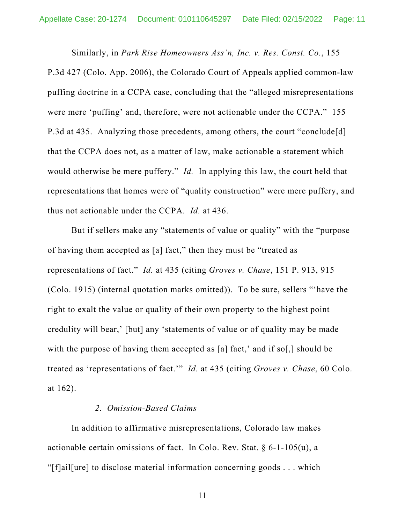Similarly, in *Park Rise Homeowners Ass'n, Inc. v. Res. Const. Co.*, 155 P.3d 427 (Colo. App. 2006), the Colorado Court of Appeals applied common-law puffing doctrine in a CCPA case, concluding that the "alleged misrepresentations were mere 'puffing' and, therefore, were not actionable under the CCPA." 155 P.3d at 435. Analyzing those precedents, among others, the court "conclude[d] that the CCPA does not, as a matter of law, make actionable a statement which would otherwise be mere puffery." *Id.* In applying this law, the court held that representations that homes were of "quality construction" were mere puffery, and thus not actionable under the CCPA. *Id.* at 436.

But if sellers make any "statements of value or quality" with the "purpose of having them accepted as [a] fact," then they must be "treated as representations of fact." *Id.* at 435 (citing *Groves v. Chase*, 151 P. 913, 915 (Colo. 1915) (internal quotation marks omitted)). To be sure, sellers "'have the right to exalt the value or quality of their own property to the highest point credulity will bear,' [but] any 'statements of value or of quality may be made with the purpose of having them accepted as [a] fact,' and if so[,] should be treated as 'representations of fact.'" *Id.* at 435 (citing *Groves v. Chase*, 60 Colo. at 162).

#### *2. Omission-Based Claims*

In addition to affirmative misrepresentations, Colorado law makes actionable certain omissions of fact. In Colo. Rev. Stat.  $\S 6$ -1-105(u), a "[f]ail[ure] to disclose material information concerning goods . . . which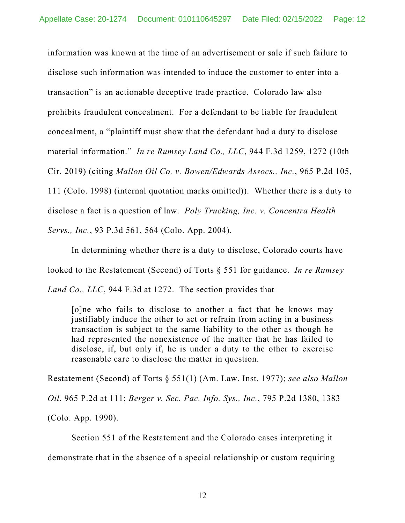information was known at the time of an advertisement or sale if such failure to disclose such information was intended to induce the customer to enter into a transaction" is an actionable deceptive trade practice. Colorado law also prohibits fraudulent concealment. For a defendant to be liable for fraudulent concealment, a "plaintiff must show that the defendant had a duty to disclose material information." *In re Rumsey Land Co., LLC*, 944 F.3d 1259, 1272 (10th Cir. 2019) (citing *Mallon Oil Co. v. Bowen/Edwards Assocs., Inc.*, 965 P.2d 105, 111 (Colo. 1998) (internal quotation marks omitted)). Whether there is a duty to disclose a fact is a question of law. *Poly Trucking, Inc. v. Concentra Health Servs., Inc.*, 93 P.3d 561, 564 (Colo. App. 2004).

In determining whether there is a duty to disclose, Colorado courts have looked to the Restatement (Second) of Torts § 551 for guidance. *In re Rumsey Land Co., LLC*, 944 F.3d at 1272. The section provides that

[o]ne who fails to disclose to another a fact that he knows may justifiably induce the other to act or refrain from acting in a business transaction is subject to the same liability to the other as though he had represented the nonexistence of the matter that he has failed to disclose, if, but only if, he is under a duty to the other to exercise reasonable care to disclose the matter in question.

Restatement (Second) of Torts § 551(1) (Am. Law. Inst. 1977); *see also Mallon Oil*, 965 P.2d at 111; *Berger v. Sec. Pac. Info. Sys., Inc.*, 795 P.2d 1380, 1383 (Colo. App. 1990).

Section 551 of the Restatement and the Colorado cases interpreting it

demonstrate that in the absence of a special relationship or custom requiring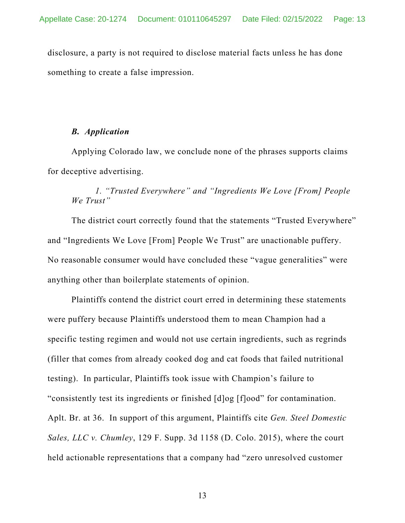disclosure, a party is not required to disclose material facts unless he has done something to create a false impression.

#### *B. Application*

Applying Colorado law, we conclude none of the phrases supports claims for deceptive advertising.

### *1. "Trusted Everywhere" and "Ingredients We Love [From] People We Trust"*

 The district court correctly found that the statements "Trusted Everywhere" and "Ingredients We Love [From] People We Trust" are unactionable puffery. No reasonable consumer would have concluded these "vague generalities" were anything other than boilerplate statements of opinion.

 Plaintiffs contend the district court erred in determining these statements were puffery because Plaintiffs understood them to mean Champion had a specific testing regimen and would not use certain ingredients, such as regrinds (filler that comes from already cooked dog and cat foods that failed nutritional testing). In particular, Plaintiffs took issue with Champion's failure to "consistently test its ingredients or finished [d]og [f]ood" for contamination. Aplt. Br. at 36. In support of this argument, Plaintiffs cite *Gen. Steel Domestic Sales, LLC v. Chumley*, 129 F. Supp. 3d 1158 (D. Colo. 2015), where the court held actionable representations that a company had "zero unresolved customer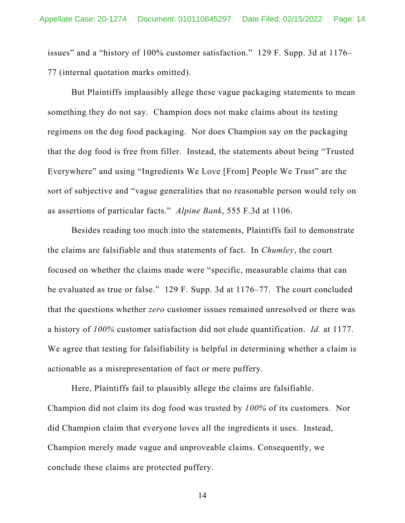issues" and a "history of 100% customer satisfaction." 129 F. Supp. 3d at 1176– 77 (internal quotation marks omitted).

 But Plaintiffs implausibly allege these vague packaging statements to mean something they do not say. Champion does not make claims about its testing regimens on the dog food packaging. Nor does Champion say on the packaging that the dog food is free from filler. Instead, the statements about being "Trusted Everywhere" and using "Ingredients We Love [From] People We Trust" are the sort of subjective and "vague generalities that no reasonable person would rely on as assertions of particular facts." *Alpine Bank*, 555 F.3d at 1106.

Besides reading too much into the statements, Plaintiffs fail to demonstrate the claims are falsifiable and thus statements of fact. In *Chumley*, the court focused on whether the claims made were "specific, measurable claims that can be evaluated as true or false." 129 F. Supp. 3d at 1176–77. The court concluded that the questions whether *zero* customer issues remained unresolved or there was a history of *100%* customer satisfaction did not elude quantification. *Id.* at 1177. We agree that testing for falsifiability is helpful in determining whether a claim is actionable as a misrepresentation of fact or mere puffery.

 Here, Plaintiffs fail to plausibly allege the claims are falsifiable. Champion did not claim its dog food was trusted by *100%* of its customers. Nor did Champion claim that everyone loves all the ingredients it uses. Instead, Champion merely made vague and unproveable claims. Consequently, we conclude these claims are protected puffery.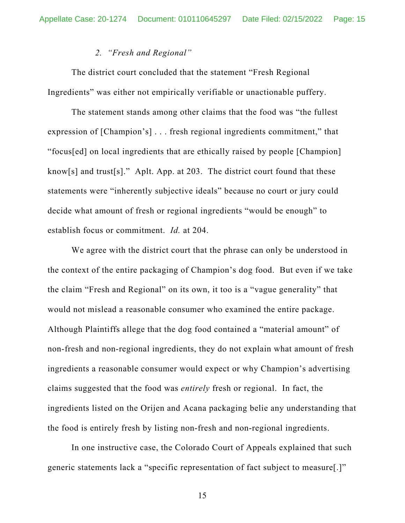#### *2. "Fresh and Regional"*

 The district court concluded that the statement "Fresh Regional Ingredients" was either not empirically verifiable or unactionable puffery.

 The statement stands among other claims that the food was "the fullest expression of [Champion's] . . . fresh regional ingredients commitment," that "focus[ed] on local ingredients that are ethically raised by people [Champion] know[s] and trust[s]." Aplt. App. at 203. The district court found that these statements were "inherently subjective ideals" because no court or jury could decide what amount of fresh or regional ingredients "would be enough" to establish focus or commitment. *Id.* at 204.

 We agree with the district court that the phrase can only be understood in the context of the entire packaging of Champion's dog food. But even if we take the claim "Fresh and Regional" on its own, it too is a "vague generality" that would not mislead a reasonable consumer who examined the entire package. Although Plaintiffs allege that the dog food contained a "material amount" of non-fresh and non-regional ingredients, they do not explain what amount of fresh ingredients a reasonable consumer would expect or why Champion's advertising claims suggested that the food was *entirely* fresh or regional. In fact, the ingredients listed on the Orijen and Acana packaging belie any understanding that the food is entirely fresh by listing non-fresh and non-regional ingredients.

 In one instructive case, the Colorado Court of Appeals explained that such generic statements lack a "specific representation of fact subject to measure[.]"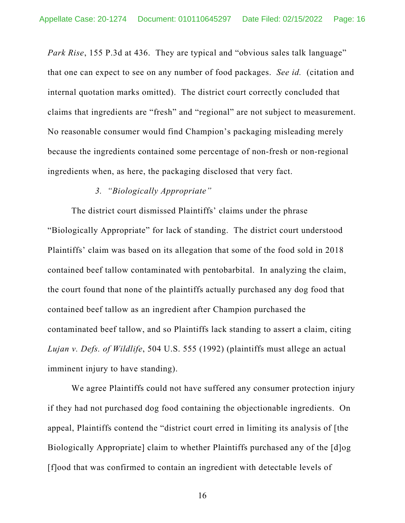*Park Rise*, 155 P.3d at 436. They are typical and "obvious sales talk language" that one can expect to see on any number of food packages. *See id.* (citation and internal quotation marks omitted). The district court correctly concluded that claims that ingredients are "fresh" and "regional" are not subject to measurement. No reasonable consumer would find Champion's packaging misleading merely because the ingredients contained some percentage of non-fresh or non-regional ingredients when, as here, the packaging disclosed that very fact.

#### *3. "Biologically Appropriate"*

The district court dismissed Plaintiffs' claims under the phrase "Biologically Appropriate" for lack of standing. The district court understood Plaintiffs' claim was based on its allegation that some of the food sold in 2018 contained beef tallow contaminated with pentobarbital. In analyzing the claim, the court found that none of the plaintiffs actually purchased any dog food that contained beef tallow as an ingredient after Champion purchased the contaminated beef tallow, and so Plaintiffs lack standing to assert a claim, citing *Lujan v. Defs. of Wildlife*, 504 U.S. 555 (1992) (plaintiffs must allege an actual imminent injury to have standing).

 We agree Plaintiffs could not have suffered any consumer protection injury if they had not purchased dog food containing the objectionable ingredients. On appeal, Plaintiffs contend the "district court erred in limiting its analysis of [the Biologically Appropriate] claim to whether Plaintiffs purchased any of the [d]og [f]ood that was confirmed to contain an ingredient with detectable levels of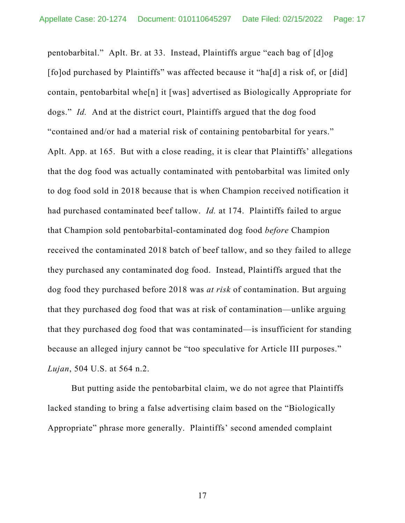pentobarbital." Aplt. Br. at 33. Instead, Plaintiffs argue "each bag of [d]og [fo]od purchased by Plaintiffs" was affected because it "ha[d] a risk of, or [did] contain, pentobarbital whe[n] it [was] advertised as Biologically Appropriate for dogs." *Id.* And at the district court, Plaintiffs argued that the dog food "contained and/or had a material risk of containing pentobarbital for years." Aplt. App. at 165. But with a close reading, it is clear that Plaintiffs' allegations that the dog food was actually contaminated with pentobarbital was limited only to dog food sold in 2018 because that is when Champion received notification it had purchased contaminated beef tallow. *Id.* at 174. Plaintiffs failed to argue that Champion sold pentobarbital-contaminated dog food *before* Champion received the contaminated 2018 batch of beef tallow, and so they failed to allege they purchased any contaminated dog food. Instead, Plaintiffs argued that the dog food they purchased before 2018 was *at risk* of contamination. But arguing that they purchased dog food that was at risk of contamination—unlike arguing that they purchased dog food that was contaminated—is insufficient for standing because an alleged injury cannot be "too speculative for Article III purposes." *Lujan*, 504 U.S. at 564 n.2.

But putting aside the pentobarbital claim, we do not agree that Plaintiffs lacked standing to bring a false advertising claim based on the "Biologically Appropriate" phrase more generally. Plaintiffs' second amended complaint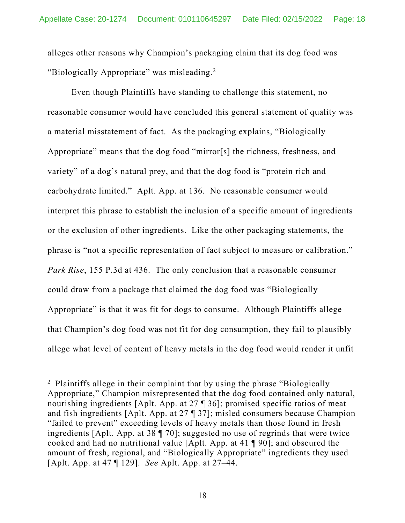alleges other reasons why Champion's packaging claim that its dog food was "Biologically Appropriate" was misleading.<sup>2</sup>

Even though Plaintiffs have standing to challenge this statement, no reasonable consumer would have concluded this general statement of quality was a material misstatement of fact. As the packaging explains, "Biologically Appropriate" means that the dog food "mirror[s] the richness, freshness, and variety" of a dog's natural prey, and that the dog food is "protein rich and carbohydrate limited." Aplt. App. at 136. No reasonable consumer would interpret this phrase to establish the inclusion of a specific amount of ingredients or the exclusion of other ingredients. Like the other packaging statements, the phrase is "not a specific representation of fact subject to measure or calibration." *Park Rise*, 155 P.3d at 436. The only conclusion that a reasonable consumer could draw from a package that claimed the dog food was "Biologically Appropriate" is that it was fit for dogs to consume. Although Plaintiffs allege that Champion's dog food was not fit for dog consumption, they fail to plausibly allege what level of content of heavy metals in the dog food would render it unfit

<sup>&</sup>lt;sup>2</sup> Plaintiffs allege in their complaint that by using the phrase "Biologically Appropriate," Champion misrepresented that the dog food contained only natural, nourishing ingredients [Aplt. App. at 27 ¶ 36]; promised specific ratios of meat and fish ingredients [Aplt. App. at 27 ¶ 37]; misled consumers because Champion "failed to prevent" exceeding levels of heavy metals than those found in fresh ingredients [Aplt. App. at 38 ¶ 70]; suggested no use of regrinds that were twice cooked and had no nutritional value [Aplt. App. at 41 ¶ 90]; and obscured the amount of fresh, regional, and "Biologically Appropriate" ingredients they used [Aplt. App. at 47 ¶ 129]. *See* Aplt. App. at 27–44.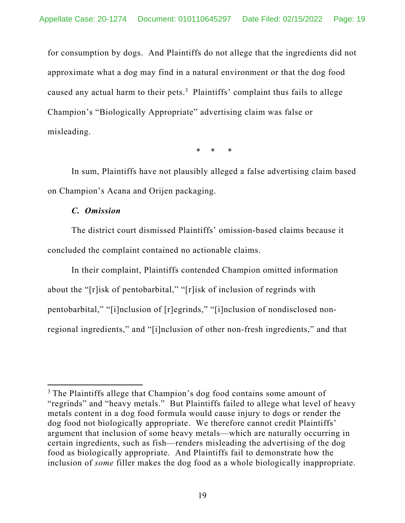for consumption by dogs. And Plaintiffs do not allege that the ingredients did not approximate what a dog may find in a natural environment or that the dog food caused any actual harm to their pets. $3$  Plaintiffs' complaint thus fails to allege Champion's "Biologically Appropriate" advertising claim was false or misleading.

\* \* \*

In sum, Plaintiffs have not plausibly alleged a false advertising claim based on Champion's Acana and Orijen packaging.

#### *C. Omission*

 The district court dismissed Plaintiffs' omission-based claims because it concluded the complaint contained no actionable claims.

In their complaint, Plaintiffs contended Champion omitted information about the "[r]isk of pentobarbital," "[r]isk of inclusion of regrinds with pentobarbital," "[i]nclusion of [r]egrinds," "[i]nclusion of nondisclosed nonregional ingredients," and "[i]nclusion of other non-fresh ingredients," and that

<sup>&</sup>lt;sup>3</sup> The Plaintiffs allege that Champion's dog food contains some amount of "regrinds" and "heavy metals." But Plaintiffs failed to allege what level of heavy metals content in a dog food formula would cause injury to dogs or render the dog food not biologically appropriate. We therefore cannot credit Plaintiffs' argument that inclusion of some heavy metals—which are naturally occurring in certain ingredients, such as fish—renders misleading the advertising of the dog food as biologically appropriate. And Plaintiffs fail to demonstrate how the inclusion of *some* filler makes the dog food as a whole biologically inappropriate.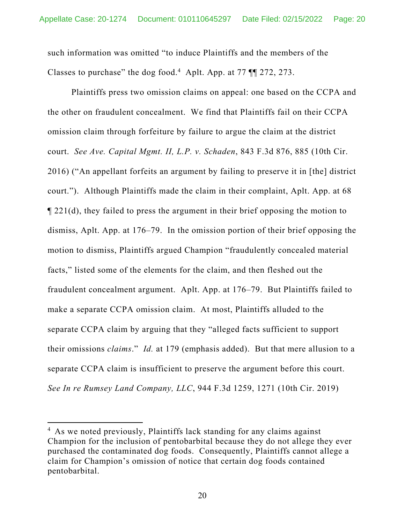such information was omitted "to induce Plaintiffs and the members of the Classes to purchase" the dog food.<sup>4</sup> Aplt. App. at  $77$   $\P$  $\boxed{272, 273.}$ 

Plaintiffs press two omission claims on appeal: one based on the CCPA and the other on fraudulent concealment. We find that Plaintiffs fail on their CCPA omission claim through forfeiture by failure to argue the claim at the district court. *See Ave. Capital Mgmt. II, L.P. v. Schaden*, 843 F.3d 876, 885 (10th Cir. 2016) ("An appellant forfeits an argument by failing to preserve it in [the] district court."). Although Plaintiffs made the claim in their complaint, Aplt. App. at 68 ¶ 221(d), they failed to press the argument in their brief opposing the motion to dismiss, Aplt. App. at 176–79. In the omission portion of their brief opposing the motion to dismiss, Plaintiffs argued Champion "fraudulently concealed material facts," listed some of the elements for the claim, and then fleshed out the fraudulent concealment argument. Aplt. App. at 176–79. But Plaintiffs failed to make a separate CCPA omission claim. At most, Plaintiffs alluded to the separate CCPA claim by arguing that they "alleged facts sufficient to support their omissions *claims*." *Id.* at 179 (emphasis added). But that mere allusion to a separate CCPA claim is insufficient to preserve the argument before this court. *See In re Rumsey Land Company, LLC*, 944 F.3d 1259, 1271 (10th Cir. 2019)

<sup>&</sup>lt;sup>4</sup> As we noted previously, Plaintiffs lack standing for any claims against Champion for the inclusion of pentobarbital because they do not allege they ever purchased the contaminated dog foods. Consequently, Plaintiffs cannot allege a claim for Champion's omission of notice that certain dog foods contained pentobarbital.